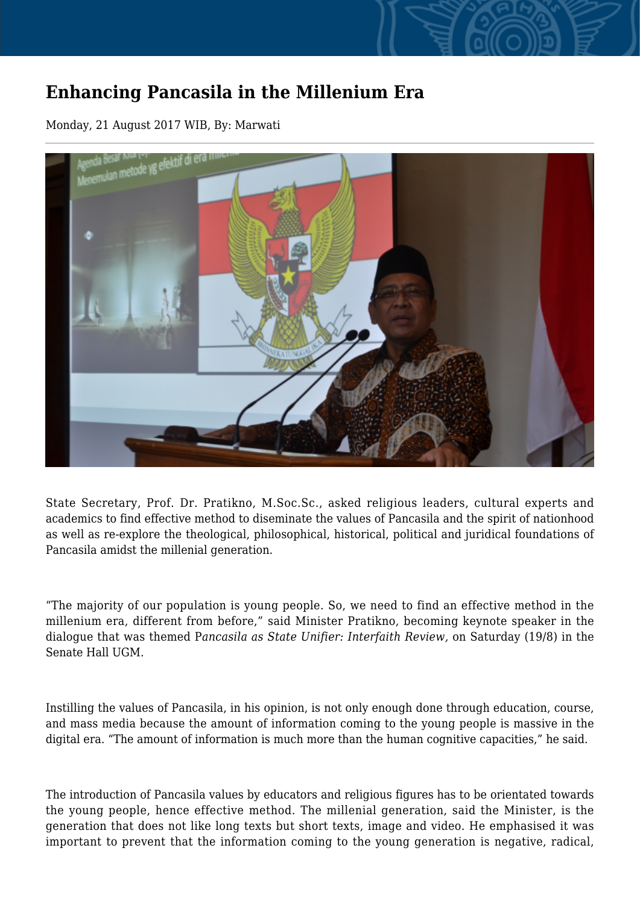## **Enhancing Pancasila in the Millenium Era**

Monday, 21 August 2017 WIB, By: Marwati



State Secretary, Prof. Dr. Pratikno, M.Soc.Sc., asked religious leaders, cultural experts and academics to find effective method to diseminate the values of Pancasila and the spirit of nationhood as well as re-explore the theological, philosophical, historical, political and juridical foundations of Pancasila amidst the millenial generation.

"The majority of our population is young people. So, we need to find an effective method in the millenium era, different from before," said Minister Pratikno, becoming keynote speaker in the dialogue that was themed P*ancasila as State Unifier: Interfaith Review,* on Saturday (19/8) in the Senate Hall UGM.

Instilling the values of Pancasila, in his opinion, is not only enough done through education, course, and mass media because the amount of information coming to the young people is massive in the digital era. "The amount of information is much more than the human cognitive capacities," he said.

The introduction of Pancasila values by educators and religious figures has to be orientated towards the young people, hence effective method. The millenial generation, said the Minister, is the generation that does not like long texts but short texts, image and video. He emphasised it was important to prevent that the information coming to the young generation is negative, radical,